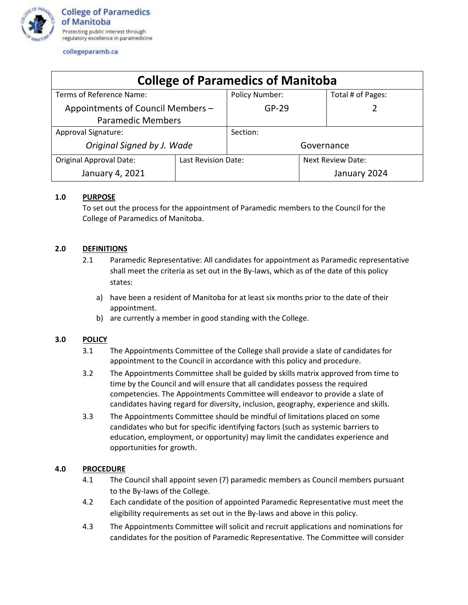

collegeparamb.ca

| <b>College of Paramedics of Manitoba</b> |                     |                |                   |                   |
|------------------------------------------|---------------------|----------------|-------------------|-------------------|
| Terms of Reference Name:                 |                     | Policy Number: |                   | Total # of Pages: |
| Appointments of Council Members -        |                     | $GP-29$        |                   |                   |
| <b>Paramedic Members</b>                 |                     |                |                   |                   |
| Approval Signature:                      |                     | Section:       |                   |                   |
| Original Signed by J. Wade               |                     | Governance     |                   |                   |
| <b>Original Approval Date:</b>           | Last Revision Date: |                | Next Review Date: |                   |
| January 4, 2021                          |                     |                |                   | January 2024      |

# **1.0 PURPOSE**

To set out the process for the appointment of Paramedic members to the Council for the College of Paramedics of Manitoba.

# **2.0 DEFINITIONS**

- 2.1 Paramedic Representative: All candidates for appointment as Paramedic representative shall meet the criteria as set out in the By-laws, which as of the date of this policy states:
	- a) have been a resident of Manitoba for at least six months prior to the date of their appointment.
	- b) are currently a member in good standing with the College.

# **3.0 POLICY**

- 3.1 The Appointments Committee of the College shall provide a slate of candidates for appointment to the Council in accordance with this policy and procedure.
- 3.2 The Appointments Committee shall be guided by skills matrix approved from time to time by the Council and will ensure that all candidates possess the required competencies. The Appointments Committee will endeavor to provide a slate of candidates having regard for diversity, inclusion, geography, experience and skills.
- 3.3 The Appointments Committee should be mindful of limitations placed on some candidates who but for specific identifying factors (such as systemic barriers to education, employment, or opportunity) may limit the candidates experience and opportunities for growth.

# **4.0 PROCEDURE**

- 4.1 The Council shall appoint seven (7) paramedic members as Council members pursuant to the By-laws of the College.
- 4.2 Each candidate of the position of appointed Paramedic Representative must meet the eligibility requirements as set out in the By-laws and above in this policy.
- 4.3 The Appointments Committee will solicit and recruit applications and nominations for candidates for the position of Paramedic Representative. The Committee will consider